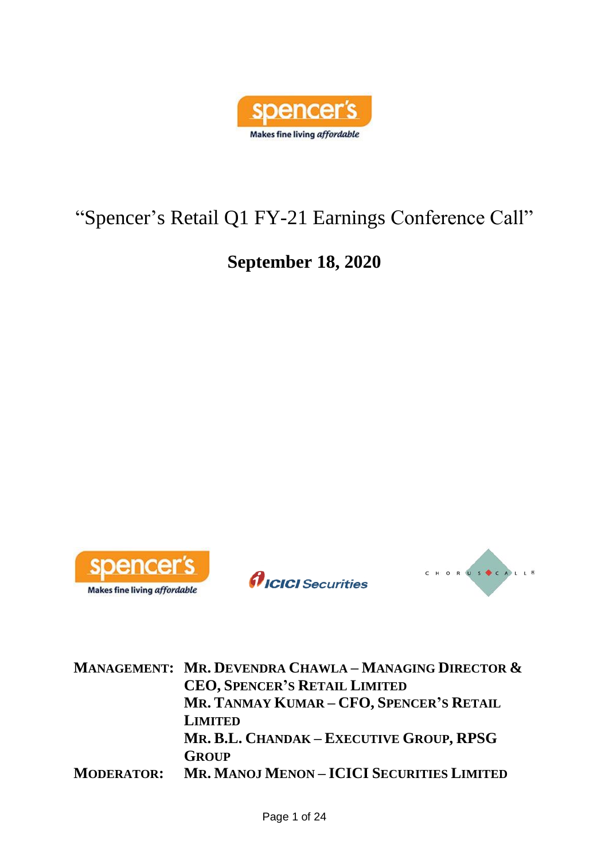

# "Spencer's Retail Q1 FY-21 Earnings Conference Call"

## **September 18, 2020**



*AICICI* Securities



**MANAGEMENT: MR. DEVENDRA CHAWLA – MANAGING DIRECTOR & CEO, SPENCER'S RETAIL LIMITED MR. TANMAY KUMAR – CFO, SPENCER'S RETAIL LIMITED MR. B.L. CHANDAK – EXECUTIVE GROUP, RPSG GROUP MODERATOR: MR. MANOJ MENON – ICICI SECURITIES LIMITED**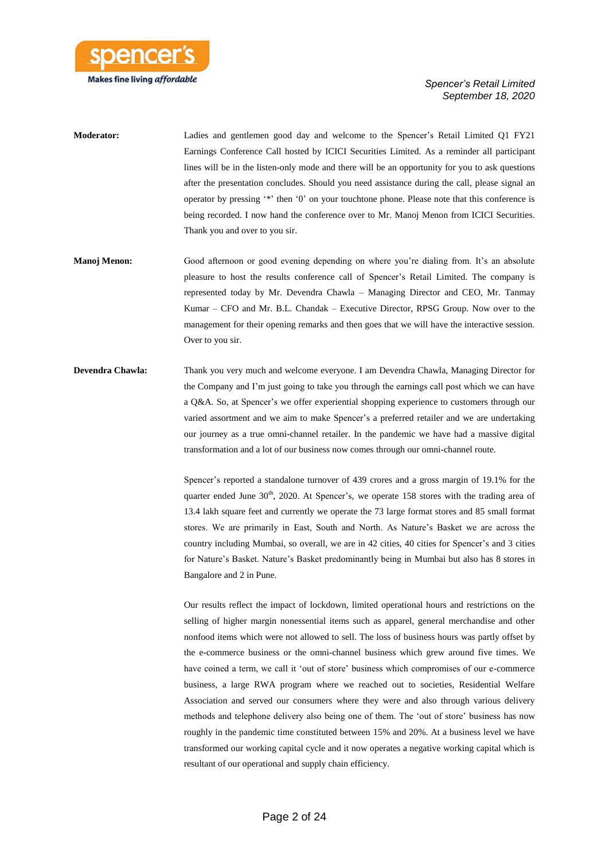

**Moderator:** Ladies and gentlemen good day and welcome to the Spencer's Retail Limited Q1 FY21 Earnings Conference Call hosted by ICICI Securities Limited. As a reminder all participant lines will be in the listen-only mode and there will be an opportunity for you to ask questions after the presentation concludes. Should you need assistance during the call, please signal an operator by pressing '\*' then '0' on your touchtone phone. Please note that this conference is being recorded. I now hand the conference over to Mr. Manoj Menon from ICICI Securities. Thank you and over to you sir.

- **Manoj Menon:** Good afternoon or good evening depending on where you're dialing from. It's an absolute pleasure to host the results conference call of Spencer's Retail Limited. The company is represented today by Mr. Devendra Chawla – Managing Director and CEO, Mr. Tanmay Kumar – CFO and Mr. B.L. Chandak – Executive Director, RPSG Group. Now over to the management for their opening remarks and then goes that we will have the interactive session. Over to you sir.
- **Devendra Chawla:** Thank you very much and welcome everyone. I am Devendra Chawla, Managing Director for the Company and I'm just going to take you through the earnings call post which we can have a Q&A. So, at Spencer's we offer experiential shopping experience to customers through our varied assortment and we aim to make Spencer's a preferred retailer and we are undertaking our journey as a true omni-channel retailer. In the pandemic we have had a massive digital transformation and a lot of our business now comes through our omni-channel route.

Spencer's reported a standalone turnover of 439 crores and a gross margin of 19.1% for the quarter ended June  $30<sup>th</sup>$ ,  $2020$ . At Spencer's, we operate 158 stores with the trading area of 13.4 lakh square feet and currently we operate the 73 large format stores and 85 small format stores. We are primarily in East, South and North. As Nature's Basket we are across the country including Mumbai, so overall, we are in 42 cities, 40 cities for Spencer's and 3 cities for Nature's Basket. Nature's Basket predominantly being in Mumbai but also has 8 stores in Bangalore and 2 in Pune.

Our results reflect the impact of lockdown, limited operational hours and restrictions on the selling of higher margin nonessential items such as apparel, general merchandise and other nonfood items which were not allowed to sell. The loss of business hours was partly offset by the e-commerce business or the omni-channel business which grew around five times. We have coined a term, we call it 'out of store' business which compromises of our e-commerce business, a large RWA program where we reached out to societies, Residential Welfare Association and served our consumers where they were and also through various delivery methods and telephone delivery also being one of them. The 'out of store' business has now roughly in the pandemic time constituted between 15% and 20%. At a business level we have transformed our working capital cycle and it now operates a negative working capital which is resultant of our operational and supply chain efficiency.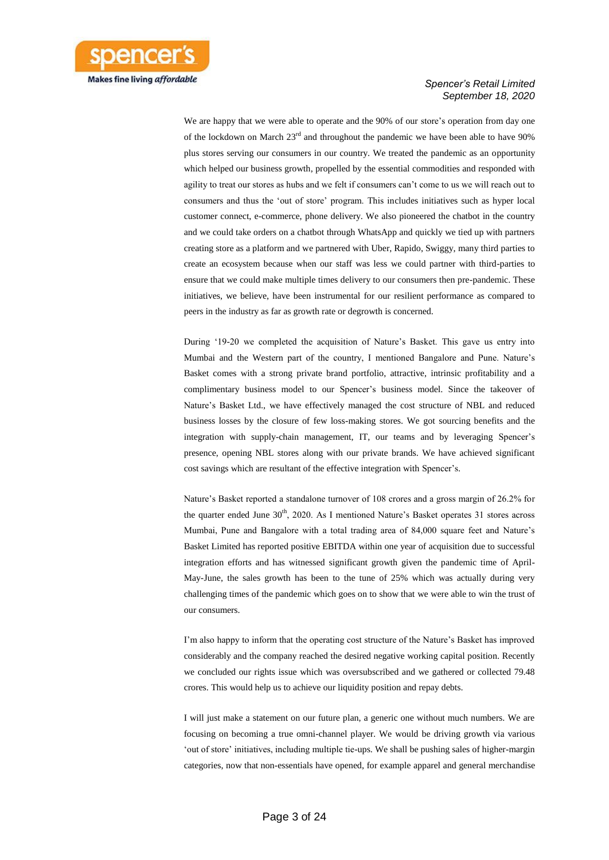

We are happy that we were able to operate and the 90% of our store's operation from day one of the lockdown on March  $23<sup>rd</sup>$  and throughout the pandemic we have been able to have 90% plus stores serving our consumers in our country. We treated the pandemic as an opportunity which helped our business growth, propelled by the essential commodities and responded with agility to treat our stores as hubs and we felt if consumers can't come to us we will reach out to consumers and thus the 'out of store' program. This includes initiatives such as hyper local customer connect, e-commerce, phone delivery. We also pioneered the chatbot in the country and we could take orders on a chatbot through WhatsApp and quickly we tied up with partners creating store as a platform and we partnered with Uber, Rapido, Swiggy, many third parties to create an ecosystem because when our staff was less we could partner with third-parties to ensure that we could make multiple times delivery to our consumers then pre-pandemic. These initiatives, we believe, have been instrumental for our resilient performance as compared to peers in the industry as far as growth rate or degrowth is concerned.

During '19-20 we completed the acquisition of Nature's Basket. This gave us entry into Mumbai and the Western part of the country, I mentioned Bangalore and Pune. Nature's Basket comes with a strong private brand portfolio, attractive, intrinsic profitability and a complimentary business model to our Spencer's business model. Since the takeover of Nature's Basket Ltd., we have effectively managed the cost structure of NBL and reduced business losses by the closure of few loss-making stores. We got sourcing benefits and the integration with supply-chain management, IT, our teams and by leveraging Spencer's presence, opening NBL stores along with our private brands. We have achieved significant cost savings which are resultant of the effective integration with Spencer's.

Nature's Basket reported a standalone turnover of 108 crores and a gross margin of 26.2% for the quarter ended June  $30<sup>th</sup>$ , 2020. As I mentioned Nature's Basket operates 31 stores across Mumbai, Pune and Bangalore with a total trading area of 84,000 square feet and Nature's Basket Limited has reported positive EBITDA within one year of acquisition due to successful integration efforts and has witnessed significant growth given the pandemic time of April-May-June, the sales growth has been to the tune of 25% which was actually during very challenging times of the pandemic which goes on to show that we were able to win the trust of our consumers.

I'm also happy to inform that the operating cost structure of the Nature's Basket has improved considerably and the company reached the desired negative working capital position. Recently we concluded our rights issue which was oversubscribed and we gathered or collected 79.48 crores. This would help us to achieve our liquidity position and repay debts.

I will just make a statement on our future plan, a generic one without much numbers. We are focusing on becoming a true omni-channel player. We would be driving growth via various 'out of store' initiatives, including multiple tie-ups. We shall be pushing sales of higher-margin categories, now that non-essentials have opened, for example apparel and general merchandise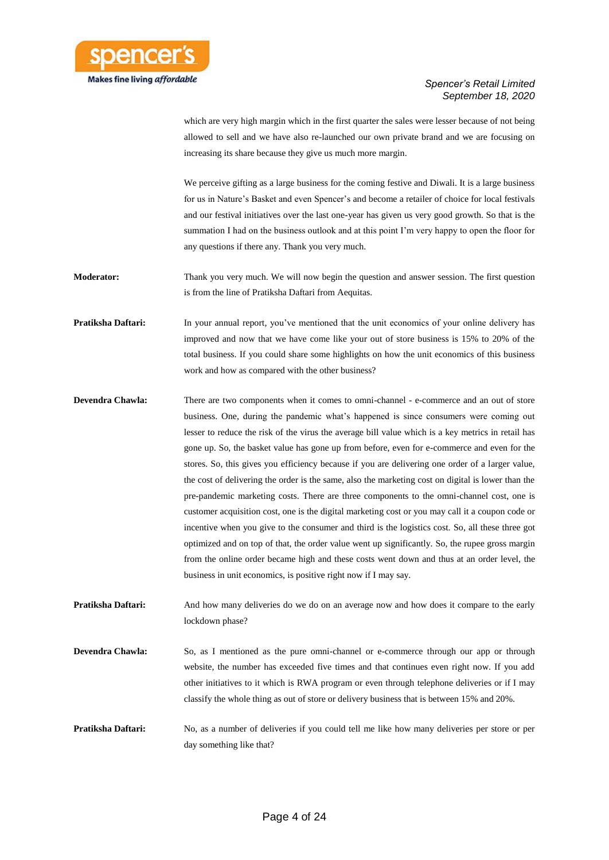

which are very high margin which in the first quarter the sales were lesser because of not being allowed to sell and we have also re-launched our own private brand and we are focusing on increasing its share because they give us much more margin.

We perceive gifting as a large business for the coming festive and Diwali. It is a large business for us in Nature's Basket and even Spencer's and become a retailer of choice for local festivals and our festival initiatives over the last one-year has given us very good growth. So that is the summation I had on the business outlook and at this point I'm very happy to open the floor for any questions if there any. Thank you very much.

**Moderator:** Thank you very much. We will now begin the question and answer session. The first question is from the line of Pratiksha Daftari from Aequitas.

**Pratiksha Daftari:** In your annual report, you've mentioned that the unit economics of your online delivery has improved and now that we have come like your out of store business is 15% to 20% of the total business. If you could share some highlights on how the unit economics of this business work and how as compared with the other business?

**Devendra Chawla:** There are two components when it comes to omni-channel - e-commerce and an out of store business. One, during the pandemic what's happened is since consumers were coming out lesser to reduce the risk of the virus the average bill value which is a key metrics in retail has gone up. So, the basket value has gone up from before, even for e-commerce and even for the stores. So, this gives you efficiency because if you are delivering one order of a larger value, the cost of delivering the order is the same, also the marketing cost on digital is lower than the pre-pandemic marketing costs. There are three components to the omni-channel cost, one is customer acquisition cost, one is the digital marketing cost or you may call it a coupon code or incentive when you give to the consumer and third is the logistics cost. So, all these three got optimized and on top of that, the order value went up significantly. So, the rupee gross margin from the online order became high and these costs went down and thus at an order level, the business in unit economics, is positive right now if I may say.

**Pratiksha Daftari:** And how many deliveries do we do on an average now and how does it compare to the early lockdown phase?

**Devendra Chawla:** So, as I mentioned as the pure omni-channel or e-commerce through our app or through website, the number has exceeded five times and that continues even right now. If you add other initiatives to it which is RWA program or even through telephone deliveries or if I may classify the whole thing as out of store or delivery business that is between 15% and 20%.

**Pratiksha Daftari:** No, as a number of deliveries if you could tell me like how many deliveries per store or per day something like that?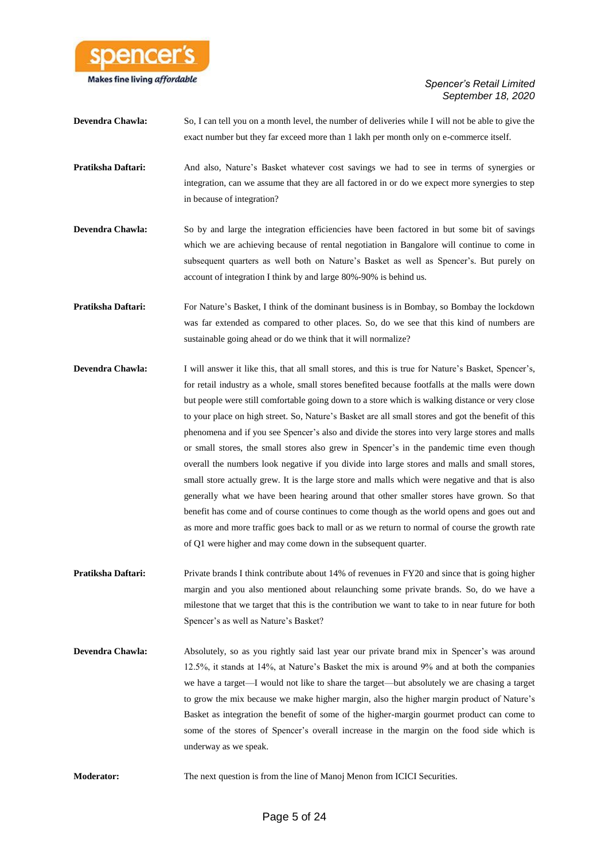

- **Devendra Chawla:** So, I can tell you on a month level, the number of deliveries while I will not be able to give the exact number but they far exceed more than 1 lakh per month only on e-commerce itself.
- **Pratiksha Daftari:** And also, Nature's Basket whatever cost savings we had to see in terms of synergies or integration, can we assume that they are all factored in or do we expect more synergies to step in because of integration?
- **Devendra Chawla:** So by and large the integration efficiencies have been factored in but some bit of savings which we are achieving because of rental negotiation in Bangalore will continue to come in subsequent quarters as well both on Nature's Basket as well as Spencer's. But purely on account of integration I think by and large 80%-90% is behind us.
- **Pratiksha Daftari:** For Nature's Basket, I think of the dominant business is in Bombay, so Bombay the lockdown was far extended as compared to other places. So, do we see that this kind of numbers are sustainable going ahead or do we think that it will normalize?
- **Devendra Chawla:** I will answer it like this, that all small stores, and this is true for Nature's Basket, Spencer's, for retail industry as a whole, small stores benefited because footfalls at the malls were down but people were still comfortable going down to a store which is walking distance or very close to your place on high street. So, Nature's Basket are all small stores and got the benefit of this phenomena and if you see Spencer's also and divide the stores into very large stores and malls or small stores, the small stores also grew in Spencer's in the pandemic time even though overall the numbers look negative if you divide into large stores and malls and small stores, small store actually grew. It is the large store and malls which were negative and that is also generally what we have been hearing around that other smaller stores have grown. So that benefit has come and of course continues to come though as the world opens and goes out and as more and more traffic goes back to mall or as we return to normal of course the growth rate of Q1 were higher and may come down in the subsequent quarter.
- **Pratiksha Daftari:** Private brands I think contribute about 14% of revenues in FY20 and since that is going higher margin and you also mentioned about relaunching some private brands. So, do we have a milestone that we target that this is the contribution we want to take to in near future for both Spencer's as well as Nature's Basket?
- **Devendra Chawla:** Absolutely, so as you rightly said last year our private brand mix in Spencer's was around 12.5%, it stands at 14%, at Nature's Basket the mix is around 9% and at both the companies we have a target—I would not like to share the target—but absolutely we are chasing a target to grow the mix because we make higher margin, also the higher margin product of Nature's Basket as integration the benefit of some of the higher-margin gourmet product can come to some of the stores of Spencer's overall increase in the margin on the food side which is underway as we speak.
- **Moderator:** The next question is from the line of Manoj Menon from ICICI Securities.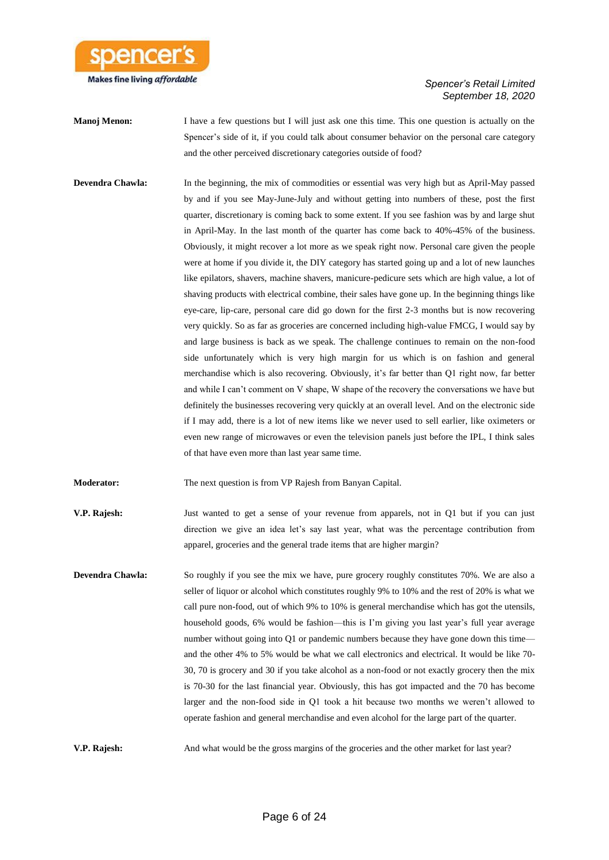

**Manoj Menon:** I have a few questions but I will just ask one this time. This one question is actually on the Spencer's side of it, if you could talk about consumer behavior on the personal care category and the other perceived discretionary categories outside of food?

**Devendra Chawla:** In the beginning, the mix of commodities or essential was very high but as April-May passed by and if you see May-June-July and without getting into numbers of these, post the first quarter, discretionary is coming back to some extent. If you see fashion was by and large shut in April-May. In the last month of the quarter has come back to 40%-45% of the business. Obviously, it might recover a lot more as we speak right now. Personal care given the people were at home if you divide it, the DIY category has started going up and a lot of new launches like epilators, shavers, machine shavers, manicure-pedicure sets which are high value, a lot of shaving products with electrical combine, their sales have gone up. In the beginning things like eye-care, lip-care, personal care did go down for the first 2-3 months but is now recovering very quickly. So as far as groceries are concerned including high-value FMCG, I would say by and large business is back as we speak. The challenge continues to remain on the non-food side unfortunately which is very high margin for us which is on fashion and general merchandise which is also recovering. Obviously, it's far better than Q1 right now, far better and while I can't comment on V shape, W shape of the recovery the conversations we have but definitely the businesses recovering very quickly at an overall level. And on the electronic side if I may add, there is a lot of new items like we never used to sell earlier, like oximeters or even new range of microwaves or even the television panels just before the IPL, I think sales of that have even more than last year same time.

**Moderator:** The next question is from VP Rajesh from Banyan Capital.

**V.P. Rajesh:** Just wanted to get a sense of your revenue from apparels, not in Q1 but if you can just direction we give an idea let's say last year, what was the percentage contribution from apparel, groceries and the general trade items that are higher margin?

**Devendra Chawla:** So roughly if you see the mix we have, pure grocery roughly constitutes 70%. We are also a seller of liquor or alcohol which constitutes roughly 9% to 10% and the rest of 20% is what we call pure non-food, out of which 9% to 10% is general merchandise which has got the utensils, household goods, 6% would be fashion—this is I'm giving you last year's full year average number without going into Q1 or pandemic numbers because they have gone down this time and the other 4% to 5% would be what we call electronics and electrical. It would be like 70- 30, 70 is grocery and 30 if you take alcohol as a non-food or not exactly grocery then the mix is 70-30 for the last financial year. Obviously, this has got impacted and the 70 has become larger and the non-food side in Q1 took a hit because two months we weren't allowed to operate fashion and general merchandise and even alcohol for the large part of the quarter.

**V.P. Rajesh:** And what would be the gross margins of the groceries and the other market for last year?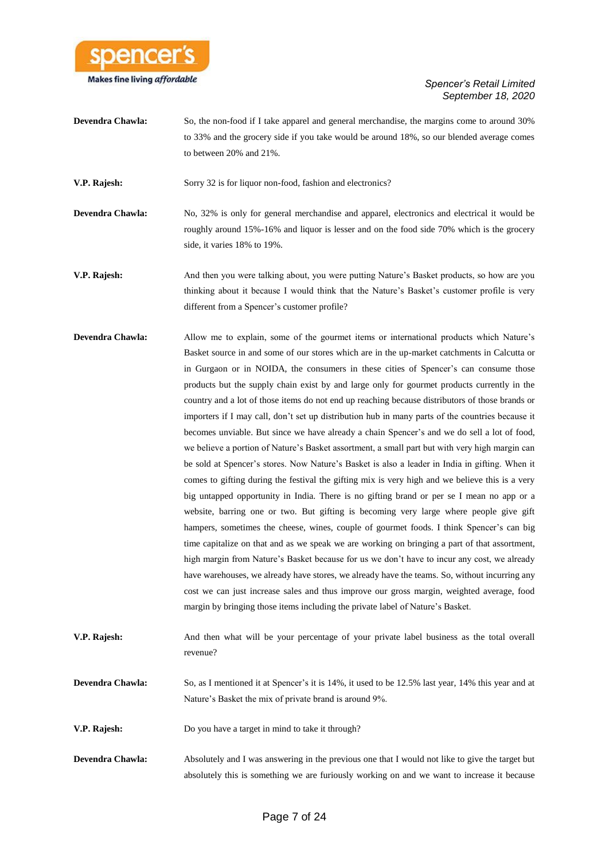

**Devendra Chawla:** So, the non-food if I take apparel and general merchandise, the margins come to around 30% to 33% and the grocery side if you take would be around 18%, so our blended average comes to between 20% and 21%.

**V.P. Rajesh:** Sorry 32 is for liquor non-food, fashion and electronics?

**Devendra Chawla:** No, 32% is only for general merchandise and apparel, electronics and electrical it would be roughly around 15%-16% and liquor is lesser and on the food side 70% which is the grocery side, it varies 18% to 19%.

**V.P. Rajesh:** And then you were talking about, you were putting Nature's Basket products, so how are you thinking about it because I would think that the Nature's Basket's customer profile is very different from a Spencer's customer profile?

- **Devendra Chawla:** Allow me to explain, some of the gourmet items or international products which Nature's Basket source in and some of our stores which are in the up-market catchments in Calcutta or in Gurgaon or in NOIDA, the consumers in these cities of Spencer's can consume those products but the supply chain exist by and large only for gourmet products currently in the country and a lot of those items do not end up reaching because distributors of those brands or importers if I may call, don't set up distribution hub in many parts of the countries because it becomes unviable. But since we have already a chain Spencer's and we do sell a lot of food, we believe a portion of Nature's Basket assortment, a small part but with very high margin can be sold at Spencer's stores. Now Nature's Basket is also a leader in India in gifting. When it comes to gifting during the festival the gifting mix is very high and we believe this is a very big untapped opportunity in India. There is no gifting brand or per se I mean no app or a website, barring one or two. But gifting is becoming very large where people give gift hampers, sometimes the cheese, wines, couple of gourmet foods. I think Spencer's can big time capitalize on that and as we speak we are working on bringing a part of that assortment, high margin from Nature's Basket because for us we don't have to incur any cost, we already have warehouses, we already have stores, we already have the teams. So, without incurring any cost we can just increase sales and thus improve our gross margin, weighted average, food margin by bringing those items including the private label of Nature's Basket.
- **V.P. Rajesh:** And then what will be your percentage of your private label business as the total overall revenue?
- **Devendra Chawla:** So, as I mentioned it at Spencer's it is 14%, it used to be 12.5% last year, 14% this year and at Nature's Basket the mix of private brand is around 9%.

**V.P. Rajesh:** Do you have a target in mind to take it through?

**Devendra Chawla:** Absolutely and I was answering in the previous one that I would not like to give the target but absolutely this is something we are furiously working on and we want to increase it because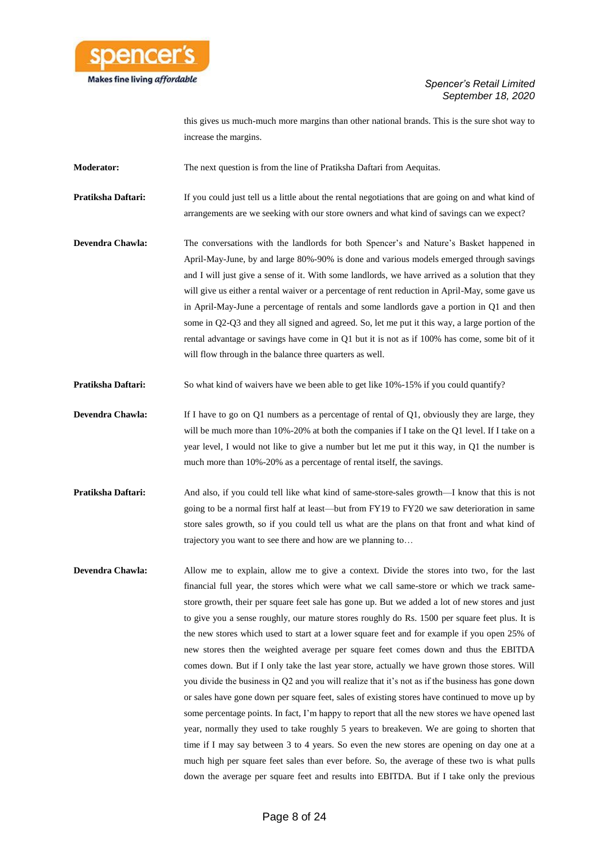

this gives us much-much more margins than other national brands. This is the sure shot way to increase the margins.

**Moderator:** The next question is from the line of Pratiksha Daftari from Aequitas.

**Pratiksha Daftari:** If you could just tell us a little about the rental negotiations that are going on and what kind of arrangements are we seeking with our store owners and what kind of savings can we expect?

**Devendra Chawla:** The conversations with the landlords for both Spencer's and Nature's Basket happened in April-May-June, by and large 80%-90% is done and various models emerged through savings and I will just give a sense of it. With some landlords, we have arrived as a solution that they will give us either a rental waiver or a percentage of rent reduction in April-May, some gave us in April-May-June a percentage of rentals and some landlords gave a portion in Q1 and then some in Q2-Q3 and they all signed and agreed. So, let me put it this way, a large portion of the rental advantage or savings have come in Q1 but it is not as if 100% has come, some bit of it will flow through in the balance three quarters as well.

**Pratiksha Daftari:** So what kind of waivers have we been able to get like 10%-15% if you could quantify?

- **Devendra Chawla:** If I have to go on Q1 numbers as a percentage of rental of Q1, obviously they are large, they will be much more than 10%-20% at both the companies if I take on the Q1 level. If I take on a year level, I would not like to give a number but let me put it this way, in Q1 the number is much more than 10%-20% as a percentage of rental itself, the savings.
- **Pratiksha Daftari:** And also, if you could tell like what kind of same-store-sales growth—I know that this is not going to be a normal first half at least—but from FY19 to FY20 we saw deterioration in same store sales growth, so if you could tell us what are the plans on that front and what kind of trajectory you want to see there and how are we planning to…
- **Devendra Chawla:** Allow me to explain, allow me to give a context. Divide the stores into two, for the last financial full year, the stores which were what we call same-store or which we track samestore growth, their per square feet sale has gone up. But we added a lot of new stores and just to give you a sense roughly, our mature stores roughly do Rs. 1500 per square feet plus. It is the new stores which used to start at a lower square feet and for example if you open 25% of new stores then the weighted average per square feet comes down and thus the EBITDA comes down. But if I only take the last year store, actually we have grown those stores. Will you divide the business in Q2 and you will realize that it's not as if the business has gone down or sales have gone down per square feet, sales of existing stores have continued to move up by some percentage points. In fact, I'm happy to report that all the new stores we have opened last year, normally they used to take roughly 5 years to breakeven. We are going to shorten that time if I may say between 3 to 4 years. So even the new stores are opening on day one at a much high per square feet sales than ever before. So, the average of these two is what pulls down the average per square feet and results into EBITDA. But if I take only the previous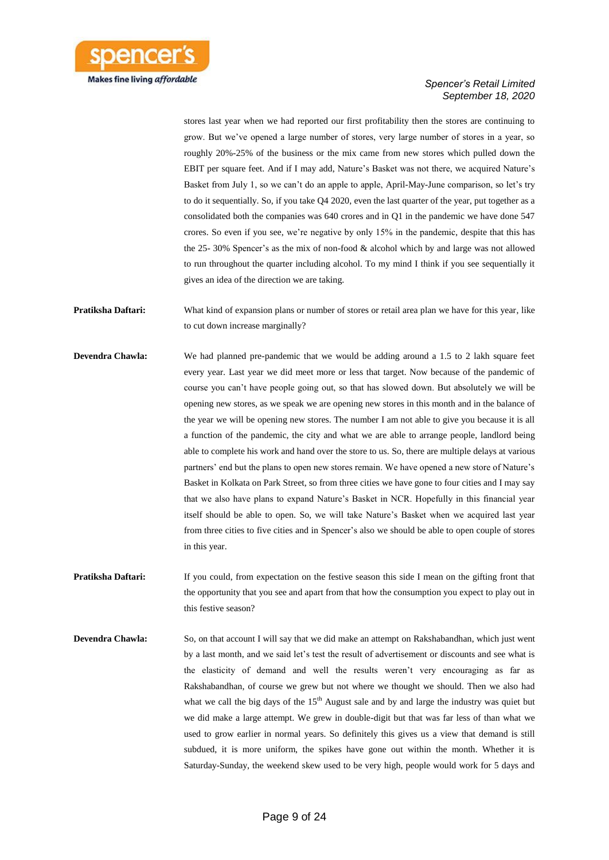

stores last year when we had reported our first profitability then the stores are continuing to grow. But we've opened a large number of stores, very large number of stores in a year, so roughly 20%-25% of the business or the mix came from new stores which pulled down the EBIT per square feet. And if I may add, Nature's Basket was not there, we acquired Nature's Basket from July 1, so we can't do an apple to apple, April-May-June comparison, so let's try to do it sequentially. So, if you take Q4 2020, even the last quarter of the year, put together as a consolidated both the companies was 640 crores and in Q1 in the pandemic we have done 547 crores. So even if you see, we're negative by only 15% in the pandemic, despite that this has the 25- 30% Spencer's as the mix of non-food & alcohol which by and large was not allowed to run throughout the quarter including alcohol. To my mind I think if you see sequentially it gives an idea of the direction we are taking.

**Pratiksha Daftari:** What kind of expansion plans or number of stores or retail area plan we have for this year, like to cut down increase marginally?

- **Devendra Chawla:** We had planned pre-pandemic that we would be adding around a 1.5 to 2 lakh square feet every year. Last year we did meet more or less that target. Now because of the pandemic of course you can't have people going out, so that has slowed down. But absolutely we will be opening new stores, as we speak we are opening new stores in this month and in the balance of the year we will be opening new stores. The number I am not able to give you because it is all a function of the pandemic, the city and what we are able to arrange people, landlord being able to complete his work and hand over the store to us. So, there are multiple delays at various partners' end but the plans to open new stores remain. We have opened a new store of Nature's Basket in Kolkata on Park Street, so from three cities we have gone to four cities and I may say that we also have plans to expand Nature's Basket in NCR. Hopefully in this financial year itself should be able to open. So, we will take Nature's Basket when we acquired last year from three cities to five cities and in Spencer's also we should be able to open couple of stores in this year.
- **Pratiksha Daftari:** If you could, from expectation on the festive season this side I mean on the gifting front that the opportunity that you see and apart from that how the consumption you expect to play out in this festive season?
- **Devendra Chawla:** So, on that account I will say that we did make an attempt on Rakshabandhan, which just went by a last month, and we said let's test the result of advertisement or discounts and see what is the elasticity of demand and well the results weren't very encouraging as far as Rakshabandhan, of course we grew but not where we thought we should. Then we also had what we call the big days of the  $15<sup>th</sup>$  August sale and by and large the industry was quiet but we did make a large attempt. We grew in double-digit but that was far less of than what we used to grow earlier in normal years. So definitely this gives us a view that demand is still subdued, it is more uniform, the spikes have gone out within the month. Whether it is Saturday-Sunday, the weekend skew used to be very high, people would work for 5 days and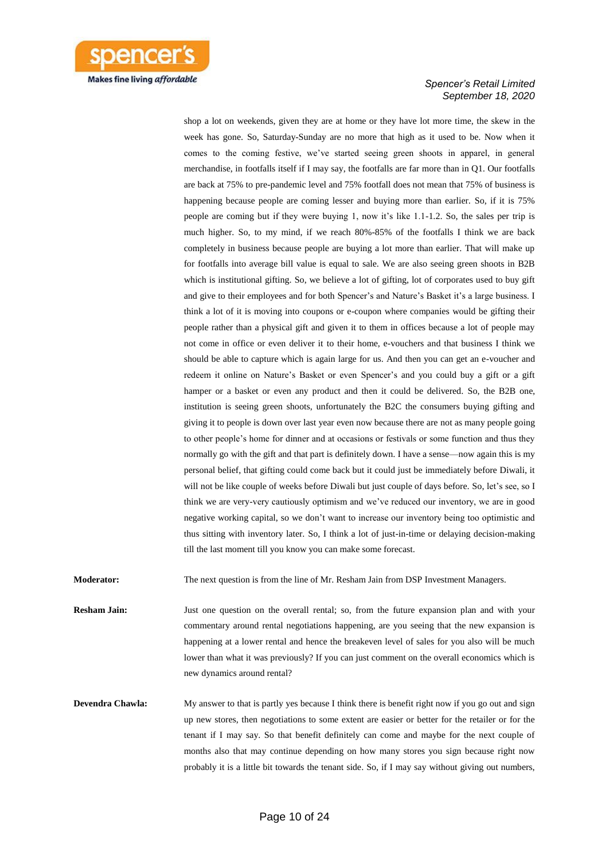

shop a lot on weekends, given they are at home or they have lot more time, the skew in the week has gone. So, Saturday-Sunday are no more that high as it used to be. Now when it comes to the coming festive, we've started seeing green shoots in apparel, in general merchandise, in footfalls itself if I may say, the footfalls are far more than in Q1. Our footfalls are back at 75% to pre-pandemic level and 75% footfall does not mean that 75% of business is happening because people are coming lesser and buying more than earlier. So, if it is 75% people are coming but if they were buying 1, now it's like 1.1-1.2. So, the sales per trip is much higher. So, to my mind, if we reach 80%-85% of the footfalls I think we are back completely in business because people are buying a lot more than earlier. That will make up for footfalls into average bill value is equal to sale. We are also seeing green shoots in B2B which is institutional gifting. So, we believe a lot of gifting, lot of corporates used to buy gift and give to their employees and for both Spencer's and Nature's Basket it's a large business. I think a lot of it is moving into coupons or e-coupon where companies would be gifting their people rather than a physical gift and given it to them in offices because a lot of people may not come in office or even deliver it to their home, e-vouchers and that business I think we should be able to capture which is again large for us. And then you can get an e-voucher and redeem it online on Nature's Basket or even Spencer's and you could buy a gift or a gift hamper or a basket or even any product and then it could be delivered. So, the B2B one, institution is seeing green shoots, unfortunately the B2C the consumers buying gifting and giving it to people is down over last year even now because there are not as many people going to other people's home for dinner and at occasions or festivals or some function and thus they normally go with the gift and that part is definitely down. I have a sense—now again this is my personal belief, that gifting could come back but it could just be immediately before Diwali, it will not be like couple of weeks before Diwali but just couple of days before. So, let's see, so I think we are very-very cautiously optimism and we've reduced our inventory, we are in good negative working capital, so we don't want to increase our inventory being too optimistic and thus sitting with inventory later. So, I think a lot of just-in-time or delaying decision-making till the last moment till you know you can make some forecast.

**Moderator:** The next question is from the line of Mr. Resham Jain from DSP Investment Managers.

**Resham Jain:** Just one question on the overall rental; so, from the future expansion plan and with your commentary around rental negotiations happening, are you seeing that the new expansion is happening at a lower rental and hence the breakeven level of sales for you also will be much lower than what it was previously? If you can just comment on the overall economics which is new dynamics around rental?

**Devendra Chawla:** My answer to that is partly yes because I think there is benefit right now if you go out and sign up new stores, then negotiations to some extent are easier or better for the retailer or for the tenant if I may say. So that benefit definitely can come and maybe for the next couple of months also that may continue depending on how many stores you sign because right now probably it is a little bit towards the tenant side. So, if I may say without giving out numbers,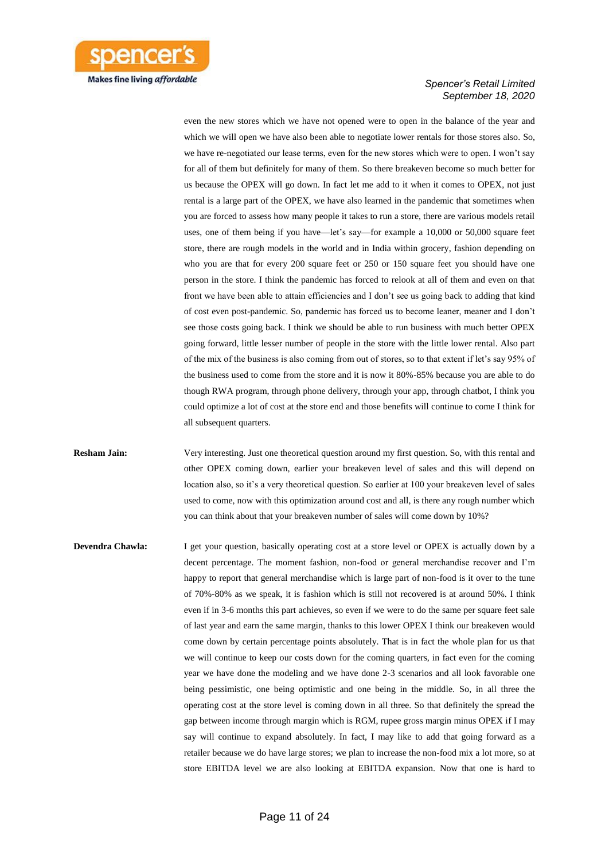

even the new stores which we have not opened were to open in the balance of the year and which we will open we have also been able to negotiate lower rentals for those stores also. So, we have re-negotiated our lease terms, even for the new stores which were to open. I won't say for all of them but definitely for many of them. So there breakeven become so much better for us because the OPEX will go down. In fact let me add to it when it comes to OPEX, not just rental is a large part of the OPEX, we have also learned in the pandemic that sometimes when you are forced to assess how many people it takes to run a store, there are various models retail uses, one of them being if you have—let's say—for example a 10,000 or 50,000 square feet store, there are rough models in the world and in India within grocery, fashion depending on who you are that for every 200 square feet or 250 or 150 square feet you should have one person in the store. I think the pandemic has forced to relook at all of them and even on that front we have been able to attain efficiencies and I don't see us going back to adding that kind of cost even post-pandemic. So, pandemic has forced us to become leaner, meaner and I don't see those costs going back. I think we should be able to run business with much better OPEX going forward, little lesser number of people in the store with the little lower rental. Also part of the mix of the business is also coming from out of stores, so to that extent if let's say 95% of the business used to come from the store and it is now it 80%-85% because you are able to do though RWA program, through phone delivery, through your app, through chatbot, I think you could optimize a lot of cost at the store end and those benefits will continue to come I think for all subsequent quarters.

**Resham Jain:** Very interesting. Just one theoretical question around my first question. So, with this rental and other OPEX coming down, earlier your breakeven level of sales and this will depend on location also, so it's a very theoretical question. So earlier at 100 your breakeven level of sales used to come, now with this optimization around cost and all, is there any rough number which you can think about that your breakeven number of sales will come down by 10%?

**Devendra Chawla:** I get your question, basically operating cost at a store level or OPEX is actually down by a decent percentage. The moment fashion, non-food or general merchandise recover and I'm happy to report that general merchandise which is large part of non-food is it over to the tune of 70%-80% as we speak, it is fashion which is still not recovered is at around 50%. I think even if in 3-6 months this part achieves, so even if we were to do the same per square feet sale of last year and earn the same margin, thanks to this lower OPEX I think our breakeven would come down by certain percentage points absolutely. That is in fact the whole plan for us that we will continue to keep our costs down for the coming quarters, in fact even for the coming year we have done the modeling and we have done 2-3 scenarios and all look favorable one being pessimistic, one being optimistic and one being in the middle. So, in all three the operating cost at the store level is coming down in all three. So that definitely the spread the gap between income through margin which is RGM, rupee gross margin minus OPEX if I may say will continue to expand absolutely. In fact, I may like to add that going forward as a retailer because we do have large stores; we plan to increase the non-food mix a lot more, so at store EBITDA level we are also looking at EBITDA expansion. Now that one is hard to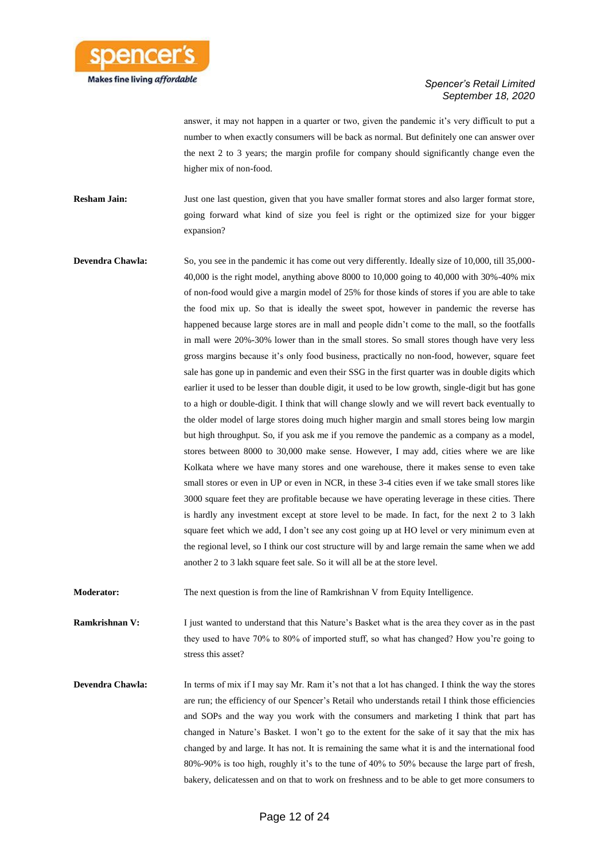

answer, it may not happen in a quarter or two, given the pandemic it's very difficult to put a number to when exactly consumers will be back as normal. But definitely one can answer over the next 2 to 3 years; the margin profile for company should significantly change even the higher mix of non-food.

**Resham Jain:** Just one last question, given that you have smaller format stores and also larger format store, going forward what kind of size you feel is right or the optimized size for your bigger expansion?

**Devendra Chawla:** So, you see in the pandemic it has come out very differently. Ideally size of 10,000, till 35,000-40,000 is the right model, anything above 8000 to 10,000 going to 40,000 with 30%-40% mix of non-food would give a margin model of 25% for those kinds of stores if you are able to take the food mix up. So that is ideally the sweet spot, however in pandemic the reverse has happened because large stores are in mall and people didn't come to the mall, so the footfalls in mall were 20%-30% lower than in the small stores. So small stores though have very less gross margins because it's only food business, practically no non-food, however, square feet sale has gone up in pandemic and even their SSG in the first quarter was in double digits which earlier it used to be lesser than double digit, it used to be low growth, single-digit but has gone to a high or double-digit. I think that will change slowly and we will revert back eventually to the older model of large stores doing much higher margin and small stores being low margin but high throughput. So, if you ask me if you remove the pandemic as a company as a model, stores between 8000 to 30,000 make sense. However, I may add, cities where we are like Kolkata where we have many stores and one warehouse, there it makes sense to even take small stores or even in UP or even in NCR, in these 3-4 cities even if we take small stores like 3000 square feet they are profitable because we have operating leverage in these cities. There is hardly any investment except at store level to be made. In fact, for the next 2 to 3 lakh square feet which we add, I don't see any cost going up at HO level or very minimum even at the regional level, so I think our cost structure will by and large remain the same when we add another 2 to 3 lakh square feet sale. So it will all be at the store level.

**Moderator:** The next question is from the line of Ramkrishnan V from Equity Intelligence.

**Ramkrishnan V:** I just wanted to understand that this Nature's Basket what is the area they cover as in the past they used to have 70% to 80% of imported stuff, so what has changed? How you're going to stress this asset?

**Devendra Chawla:** In terms of mix if I may say Mr. Ram it's not that a lot has changed. I think the way the stores are run; the efficiency of our Spencer's Retail who understands retail I think those efficiencies and SOPs and the way you work with the consumers and marketing I think that part has changed in Nature's Basket. I won't go to the extent for the sake of it say that the mix has changed by and large. It has not. It is remaining the same what it is and the international food 80%-90% is too high, roughly it's to the tune of 40% to 50% because the large part of fresh, bakery, delicatessen and on that to work on freshness and to be able to get more consumers to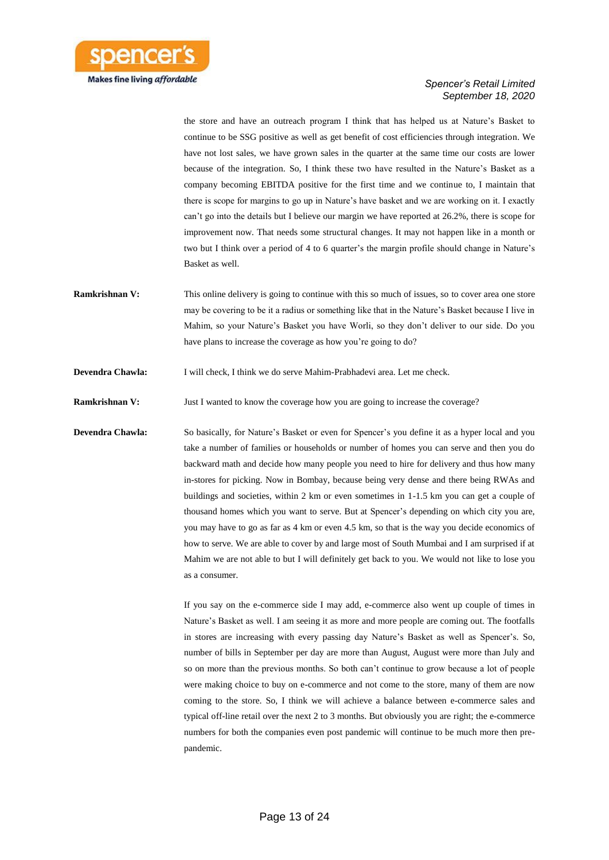

the store and have an outreach program I think that has helped us at Nature's Basket to continue to be SSG positive as well as get benefit of cost efficiencies through integration. We have not lost sales, we have grown sales in the quarter at the same time our costs are lower because of the integration. So, I think these two have resulted in the Nature's Basket as a company becoming EBITDA positive for the first time and we continue to, I maintain that there is scope for margins to go up in Nature's have basket and we are working on it. I exactly can't go into the details but I believe our margin we have reported at 26.2%, there is scope for improvement now. That needs some structural changes. It may not happen like in a month or two but I think over a period of 4 to 6 quarter's the margin profile should change in Nature's Basket as well.

- **Ramkrishnan V:** This online delivery is going to continue with this so much of issues, so to cover area one store may be covering to be it a radius or something like that in the Nature's Basket because I live in Mahim, so your Nature's Basket you have Worli, so they don't deliver to our side. Do you have plans to increase the coverage as how you're going to do?
- **Devendra Chawla:** I will check, I think we do serve Mahim-Prabhadevi area. Let me check.

**Ramkrishnan V:** Just I wanted to know the coverage how you are going to increase the coverage?

**Devendra Chawla:** So basically, for Nature's Basket or even for Spencer's you define it as a hyper local and you take a number of families or households or number of homes you can serve and then you do backward math and decide how many people you need to hire for delivery and thus how many in-stores for picking. Now in Bombay, because being very dense and there being RWAs and buildings and societies, within 2 km or even sometimes in 1-1.5 km you can get a couple of thousand homes which you want to serve. But at Spencer's depending on which city you are, you may have to go as far as 4 km or even 4.5 km, so that is the way you decide economics of how to serve. We are able to cover by and large most of South Mumbai and I am surprised if at Mahim we are not able to but I will definitely get back to you. We would not like to lose you as a consumer.

> If you say on the e-commerce side I may add, e-commerce also went up couple of times in Nature's Basket as well. I am seeing it as more and more people are coming out. The footfalls in stores are increasing with every passing day Nature's Basket as well as Spencer's. So, number of bills in September per day are more than August, August were more than July and so on more than the previous months. So both can't continue to grow because a lot of people were making choice to buy on e-commerce and not come to the store, many of them are now coming to the store. So, I think we will achieve a balance between e-commerce sales and typical off-line retail over the next 2 to 3 months. But obviously you are right; the e-commerce numbers for both the companies even post pandemic will continue to be much more then prepandemic.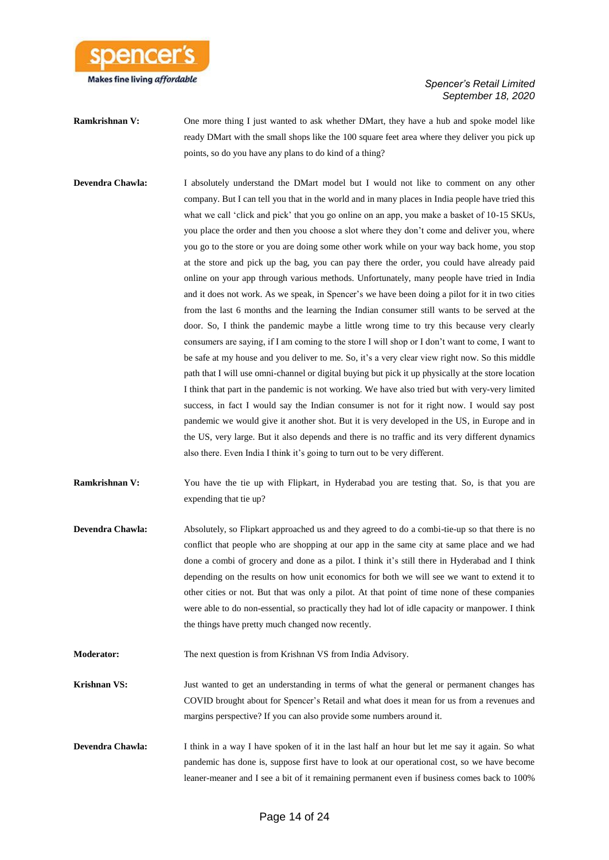

- **Ramkrishnan V:** One more thing I just wanted to ask whether DMart, they have a hub and spoke model like ready DMart with the small shops like the 100 square feet area where they deliver you pick up points, so do you have any plans to do kind of a thing?
- **Devendra Chawla:** I absolutely understand the DMart model but I would not like to comment on any other company. But I can tell you that in the world and in many places in India people have tried this what we call 'click and pick' that you go online on an app, you make a basket of 10-15 SKUs, you place the order and then you choose a slot where they don't come and deliver you, where you go to the store or you are doing some other work while on your way back home, you stop at the store and pick up the bag, you can pay there the order, you could have already paid online on your app through various methods. Unfortunately, many people have tried in India and it does not work. As we speak, in Spencer's we have been doing a pilot for it in two cities from the last 6 months and the learning the Indian consumer still wants to be served at the door. So, I think the pandemic maybe a little wrong time to try this because very clearly consumers are saying, if I am coming to the store I will shop or I don't want to come, I want to be safe at my house and you deliver to me. So, it's a very clear view right now. So this middle path that I will use omni-channel or digital buying but pick it up physically at the store location I think that part in the pandemic is not working. We have also tried but with very-very limited success, in fact I would say the Indian consumer is not for it right now. I would say post pandemic we would give it another shot. But it is very developed in the US, in Europe and in the US, very large. But it also depends and there is no traffic and its very different dynamics also there. Even India I think it's going to turn out to be very different.
- **Ramkrishnan V:** You have the tie up with Flipkart, in Hyderabad you are testing that. So, is that you are expending that tie up?
- **Devendra Chawla:** Absolutely, so Flipkart approached us and they agreed to do a combi-tie-up so that there is no conflict that people who are shopping at our app in the same city at same place and we had done a combi of grocery and done as a pilot. I think it's still there in Hyderabad and I think depending on the results on how unit economics for both we will see we want to extend it to other cities or not. But that was only a pilot. At that point of time none of these companies were able to do non-essential, so practically they had lot of idle capacity or manpower. I think the things have pretty much changed now recently.
- **Moderator:** The next question is from Krishnan VS from India Advisory.
- **Krishnan VS:** Just wanted to get an understanding in terms of what the general or permanent changes has COVID brought about for Spencer's Retail and what does it mean for us from a revenues and margins perspective? If you can also provide some numbers around it.
- **Devendra Chawla:** I think in a way I have spoken of it in the last half an hour but let me say it again. So what pandemic has done is, suppose first have to look at our operational cost, so we have become leaner-meaner and I see a bit of it remaining permanent even if business comes back to 100%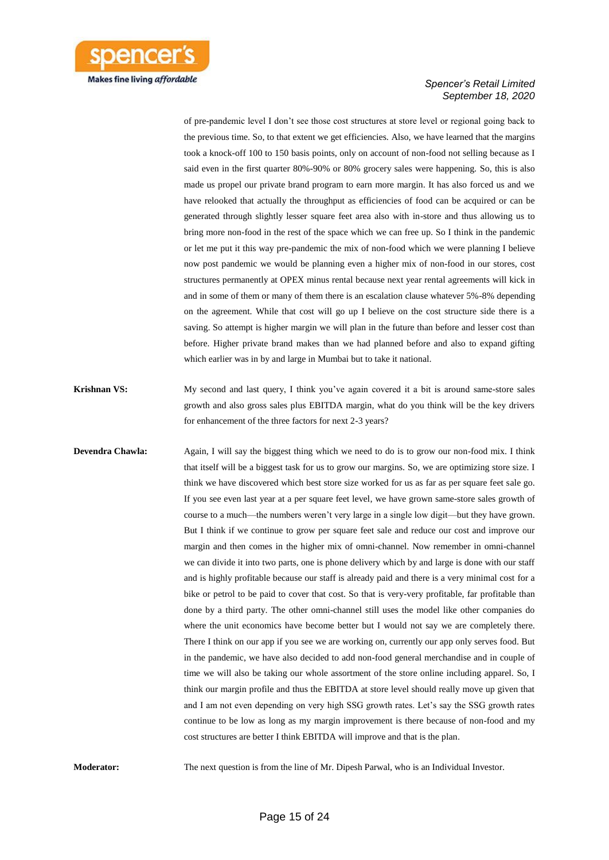

of pre-pandemic level I don't see those cost structures at store level or regional going back to the previous time. So, to that extent we get efficiencies. Also, we have learned that the margins took a knock-off 100 to 150 basis points, only on account of non-food not selling because as I said even in the first quarter 80%-90% or 80% grocery sales were happening. So, this is also made us propel our private brand program to earn more margin. It has also forced us and we have relooked that actually the throughput as efficiencies of food can be acquired or can be generated through slightly lesser square feet area also with in-store and thus allowing us to bring more non-food in the rest of the space which we can free up. So I think in the pandemic or let me put it this way pre-pandemic the mix of non-food which we were planning I believe now post pandemic we would be planning even a higher mix of non-food in our stores, cost structures permanently at OPEX minus rental because next year rental agreements will kick in and in some of them or many of them there is an escalation clause whatever 5%-8% depending on the agreement. While that cost will go up I believe on the cost structure side there is a saving. So attempt is higher margin we will plan in the future than before and lesser cost than before. Higher private brand makes than we had planned before and also to expand gifting which earlier was in by and large in Mumbai but to take it national.

- **Krishnan VS:** My second and last query, I think you've again covered it a bit is around same-store sales growth and also gross sales plus EBITDA margin, what do you think will be the key drivers for enhancement of the three factors for next 2-3 years?
- **Devendra Chawla:** Again, I will say the biggest thing which we need to do is to grow our non-food mix. I think that itself will be a biggest task for us to grow our margins. So, we are optimizing store size. I think we have discovered which best store size worked for us as far as per square feet sale go. If you see even last year at a per square feet level, we have grown same-store sales growth of course to a much—the numbers weren't very large in a single low digit—but they have grown. But I think if we continue to grow per square feet sale and reduce our cost and improve our margin and then comes in the higher mix of omni-channel. Now remember in omni-channel we can divide it into two parts, one is phone delivery which by and large is done with our staff and is highly profitable because our staff is already paid and there is a very minimal cost for a bike or petrol to be paid to cover that cost. So that is very-very profitable, far profitable than done by a third party. The other omni-channel still uses the model like other companies do where the unit economics have become better but I would not say we are completely there. There I think on our app if you see we are working on, currently our app only serves food. But in the pandemic, we have also decided to add non-food general merchandise and in couple of time we will also be taking our whole assortment of the store online including apparel. So, I think our margin profile and thus the EBITDA at store level should really move up given that and I am not even depending on very high SSG growth rates. Let's say the SSG growth rates continue to be low as long as my margin improvement is there because of non-food and my cost structures are better I think EBITDA will improve and that is the plan.

**Moderator:** The next question is from the line of Mr. Dipesh Parwal, who is an Individual Investor.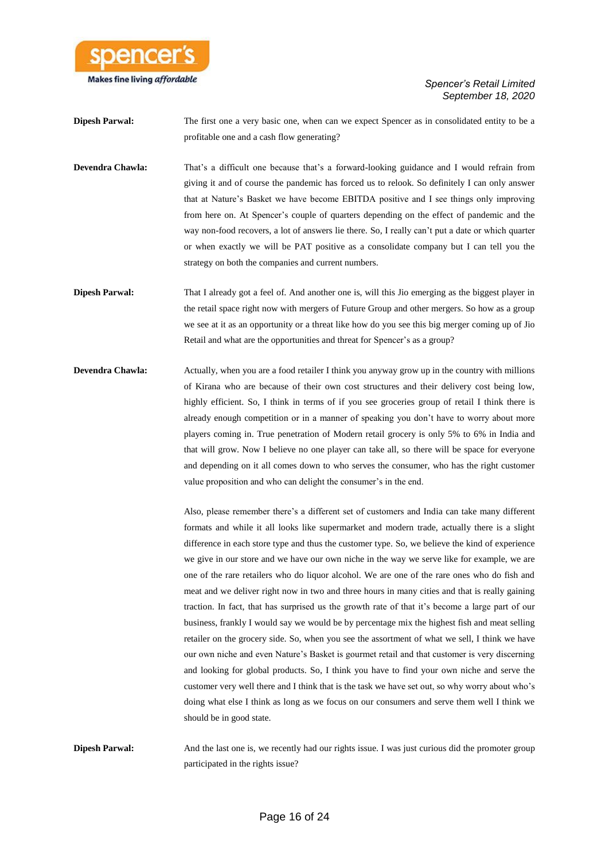

**Dipesh Parwal:** The first one a very basic one, when can we expect Spencer as in consolidated entity to be a profitable one and a cash flow generating?

- **Devendra Chawla:** That's a difficult one because that's a forward-looking guidance and I would refrain from giving it and of course the pandemic has forced us to relook. So definitely I can only answer that at Nature's Basket we have become EBITDA positive and I see things only improving from here on. At Spencer's couple of quarters depending on the effect of pandemic and the way non-food recovers, a lot of answers lie there. So, I really can't put a date or which quarter or when exactly we will be PAT positive as a consolidate company but I can tell you the strategy on both the companies and current numbers.
- **Dipesh Parwal:** That I already got a feel of. And another one is, will this Jio emerging as the biggest player in the retail space right now with mergers of Future Group and other mergers. So how as a group we see at it as an opportunity or a threat like how do you see this big merger coming up of Jio Retail and what are the opportunities and threat for Spencer's as a group?
- **Devendra Chawla:** Actually, when you are a food retailer I think you anyway grow up in the country with millions of Kirana who are because of their own cost structures and their delivery cost being low, highly efficient. So, I think in terms of if you see groceries group of retail I think there is already enough competition or in a manner of speaking you don't have to worry about more players coming in. True penetration of Modern retail grocery is only 5% to 6% in India and that will grow. Now I believe no one player can take all, so there will be space for everyone and depending on it all comes down to who serves the consumer, who has the right customer value proposition and who can delight the consumer's in the end.

Also, please remember there's a different set of customers and India can take many different formats and while it all looks like supermarket and modern trade, actually there is a slight difference in each store type and thus the customer type. So, we believe the kind of experience we give in our store and we have our own niche in the way we serve like for example, we are one of the rare retailers who do liquor alcohol. We are one of the rare ones who do fish and meat and we deliver right now in two and three hours in many cities and that is really gaining traction. In fact, that has surprised us the growth rate of that it's become a large part of our business, frankly I would say we would be by percentage mix the highest fish and meat selling retailer on the grocery side. So, when you see the assortment of what we sell, I think we have our own niche and even Nature's Basket is gourmet retail and that customer is very discerning and looking for global products. So, I think you have to find your own niche and serve the customer very well there and I think that is the task we have set out, so why worry about who's doing what else I think as long as we focus on our consumers and serve them well I think we should be in good state.

**Dipesh Parwal:** And the last one is, we recently had our rights issue. I was just curious did the promoter group participated in the rights issue?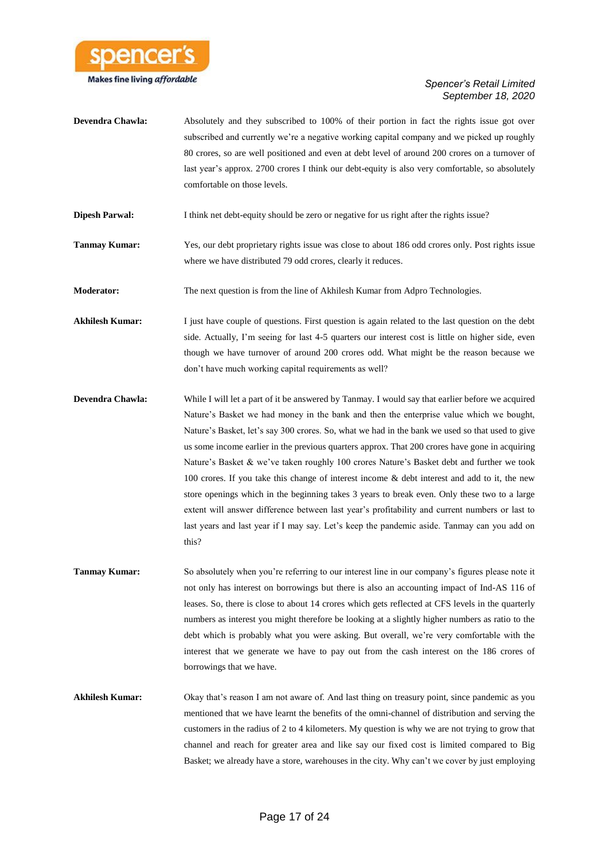

- **Devendra Chawla:** Absolutely and they subscribed to 100% of their portion in fact the rights issue got over subscribed and currently we're a negative working capital company and we picked up roughly 80 crores, so are well positioned and even at debt level of around 200 crores on a turnover of last year's approx. 2700 crores I think our debt-equity is also very comfortable, so absolutely comfortable on those levels.
- **Dipesh Parwal:** I think net debt-equity should be zero or negative for us right after the rights issue?
- **Tanmay Kumar:** Yes, our debt proprietary rights issue was close to about 186 odd crores only. Post rights issue where we have distributed 79 odd crores, clearly it reduces.
- **Moderator:** The next question is from the line of Akhilesh Kumar from Adpro Technologies.
- **Akhilesh Kumar:** I just have couple of questions. First question is again related to the last question on the debt side. Actually, I'm seeing for last 4-5 quarters our interest cost is little on higher side, even though we have turnover of around 200 crores odd. What might be the reason because we don't have much working capital requirements as well?
- **Devendra Chawla:** While I will let a part of it be answered by Tanmay. I would say that earlier before we acquired Nature's Basket we had money in the bank and then the enterprise value which we bought, Nature's Basket, let's say 300 crores. So, what we had in the bank we used so that used to give us some income earlier in the previous quarters approx. That 200 crores have gone in acquiring Nature's Basket & we've taken roughly 100 crores Nature's Basket debt and further we took 100 crores. If you take this change of interest income & debt interest and add to it, the new store openings which in the beginning takes 3 years to break even. Only these two to a large extent will answer difference between last year's profitability and current numbers or last to last years and last year if I may say. Let's keep the pandemic aside. Tanmay can you add on this?
- **Tanmay Kumar:** So absolutely when you're referring to our interest line in our company's figures please note it not only has interest on borrowings but there is also an accounting impact of Ind-AS 116 of leases. So, there is close to about 14 crores which gets reflected at CFS levels in the quarterly numbers as interest you might therefore be looking at a slightly higher numbers as ratio to the debt which is probably what you were asking. But overall, we're very comfortable with the interest that we generate we have to pay out from the cash interest on the 186 crores of borrowings that we have.
- **Akhilesh Kumar:** Okay that's reason I am not aware of. And last thing on treasury point, since pandemic as you mentioned that we have learnt the benefits of the omni-channel of distribution and serving the customers in the radius of 2 to 4 kilometers. My question is why we are not trying to grow that channel and reach for greater area and like say our fixed cost is limited compared to Big Basket; we already have a store, warehouses in the city. Why can't we cover by just employing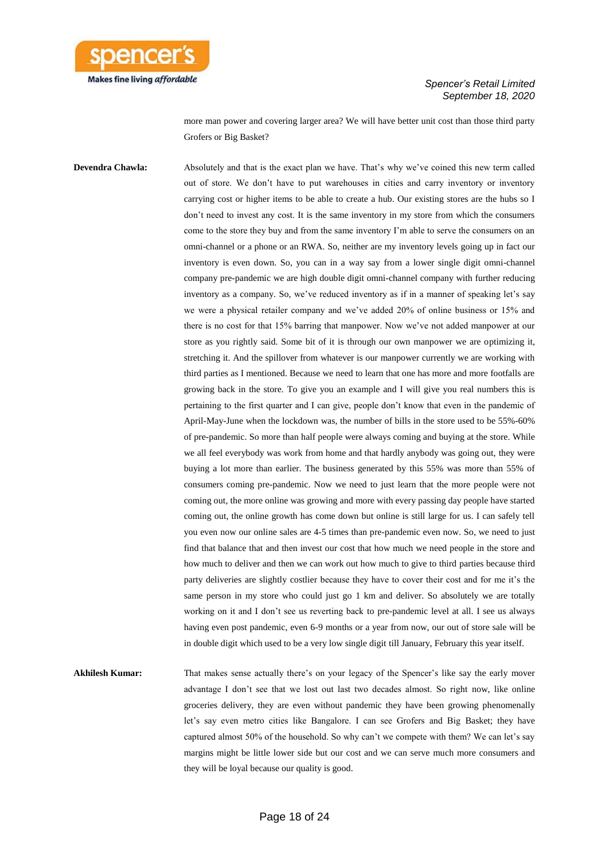

more man power and covering larger area? We will have better unit cost than those third party Grofers or Big Basket?

**Devendra Chawla:** Absolutely and that is the exact plan we have. That's why we've coined this new term called out of store. We don't have to put warehouses in cities and carry inventory or inventory carrying cost or higher items to be able to create a hub. Our existing stores are the hubs so I don't need to invest any cost. It is the same inventory in my store from which the consumers come to the store they buy and from the same inventory I'm able to serve the consumers on an omni-channel or a phone or an RWA. So, neither are my inventory levels going up in fact our inventory is even down. So, you can in a way say from a lower single digit omni-channel company pre-pandemic we are high double digit omni-channel company with further reducing inventory as a company. So, we've reduced inventory as if in a manner of speaking let's say we were a physical retailer company and we've added 20% of online business or 15% and there is no cost for that 15% barring that manpower. Now we've not added manpower at our store as you rightly said. Some bit of it is through our own manpower we are optimizing it, stretching it. And the spillover from whatever is our manpower currently we are working with third parties as I mentioned. Because we need to learn that one has more and more footfalls are growing back in the store. To give you an example and I will give you real numbers this is pertaining to the first quarter and I can give, people don't know that even in the pandemic of April-May-June when the lockdown was, the number of bills in the store used to be 55%-60% of pre-pandemic. So more than half people were always coming and buying at the store. While we all feel everybody was work from home and that hardly anybody was going out, they were buying a lot more than earlier. The business generated by this 55% was more than 55% of consumers coming pre-pandemic. Now we need to just learn that the more people were not coming out, the more online was growing and more with every passing day people have started coming out, the online growth has come down but online is still large for us. I can safely tell you even now our online sales are 4-5 times than pre-pandemic even now. So, we need to just find that balance that and then invest our cost that how much we need people in the store and how much to deliver and then we can work out how much to give to third parties because third party deliveries are slightly costlier because they have to cover their cost and for me it's the same person in my store who could just go 1 km and deliver. So absolutely we are totally working on it and I don't see us reverting back to pre-pandemic level at all. I see us always having even post pandemic, even 6-9 months or a year from now, our out of store sale will be in double digit which used to be a very low single digit till January, February this year itself.

Akhilesh Kumar: That makes sense actually there's on your legacy of the Spencer's like say the early mover advantage I don't see that we lost out last two decades almost. So right now, like online groceries delivery, they are even without pandemic they have been growing phenomenally let's say even metro cities like Bangalore. I can see Grofers and Big Basket; they have captured almost 50% of the household. So why can't we compete with them? We can let's say margins might be little lower side but our cost and we can serve much more consumers and they will be loyal because our quality is good.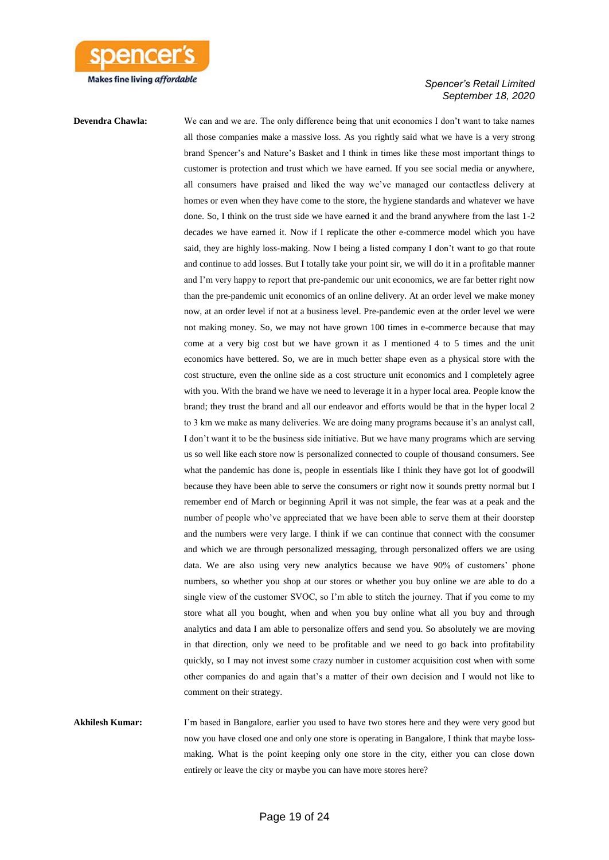

**Devendra Chawla:** We can and we are. The only difference being that unit economics I don't want to take names all those companies make a massive loss. As you rightly said what we have is a very strong brand Spencer's and Nature's Basket and I think in times like these most important things to customer is protection and trust which we have earned. If you see social media or anywhere, all consumers have praised and liked the way we've managed our contactless delivery at homes or even when they have come to the store, the hygiene standards and whatever we have done. So, I think on the trust side we have earned it and the brand anywhere from the last 1-2 decades we have earned it. Now if I replicate the other e-commerce model which you have said, they are highly loss-making. Now I being a listed company I don't want to go that route and continue to add losses. But I totally take your point sir, we will do it in a profitable manner and I'm very happy to report that pre-pandemic our unit economics, we are far better right now than the pre-pandemic unit economics of an online delivery. At an order level we make money now, at an order level if not at a business level. Pre-pandemic even at the order level we were not making money. So, we may not have grown 100 times in e-commerce because that may come at a very big cost but we have grown it as I mentioned 4 to 5 times and the unit economics have bettered. So, we are in much better shape even as a physical store with the cost structure, even the online side as a cost structure unit economics and I completely agree with you. With the brand we have we need to leverage it in a hyper local area. People know the brand; they trust the brand and all our endeavor and efforts would be that in the hyper local 2 to 3 km we make as many deliveries. We are doing many programs because it's an analyst call, I don't want it to be the business side initiative. But we have many programs which are serving us so well like each store now is personalized connected to couple of thousand consumers. See what the pandemic has done is, people in essentials like I think they have got lot of goodwill because they have been able to serve the consumers or right now it sounds pretty normal but I remember end of March or beginning April it was not simple, the fear was at a peak and the number of people who've appreciated that we have been able to serve them at their doorstep and the numbers were very large. I think if we can continue that connect with the consumer and which we are through personalized messaging, through personalized offers we are using data. We are also using very new analytics because we have 90% of customers' phone numbers, so whether you shop at our stores or whether you buy online we are able to do a single view of the customer SVOC, so I'm able to stitch the journey. That if you come to my store what all you bought, when and when you buy online what all you buy and through analytics and data I am able to personalize offers and send you. So absolutely we are moving in that direction, only we need to be profitable and we need to go back into profitability quickly, so I may not invest some crazy number in customer acquisition cost when with some other companies do and again that's a matter of their own decision and I would not like to comment on their strategy.

**Akhilesh Kumar:** I'm based in Bangalore, earlier you used to have two stores here and they were very good but now you have closed one and only one store is operating in Bangalore, I think that maybe lossmaking. What is the point keeping only one store in the city, either you can close down entirely or leave the city or maybe you can have more stores here?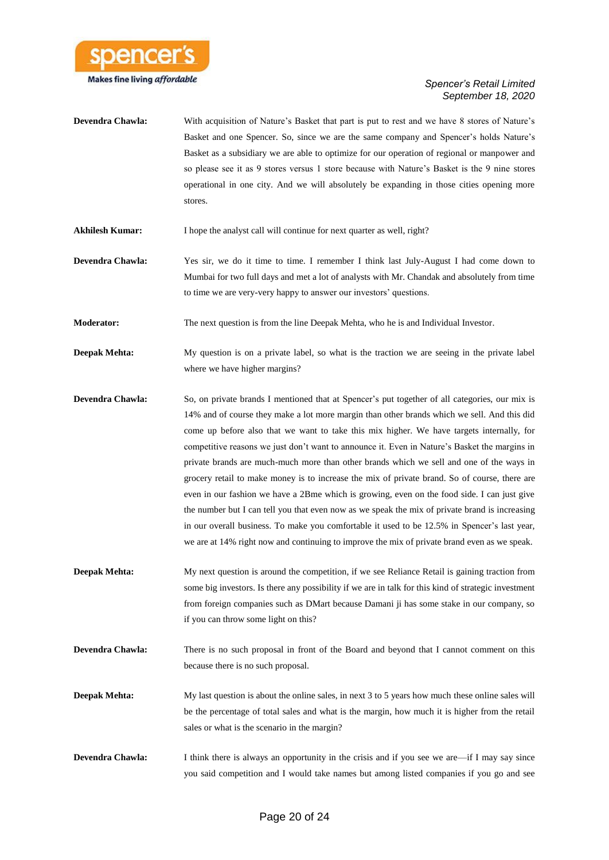

| <b>Devendra Chawla:</b> | With acquisition of Nature's Basket that part is put to rest and we have 8 stores of Nature's |
|-------------------------|-----------------------------------------------------------------------------------------------|
|                         | Basket and one Spencer. So, since we are the same company and Spencer's holds Nature's        |
|                         | Basket as a subsidiary we are able to optimize for our operation of regional or manpower and  |
|                         | so please see it as 9 stores versus 1 store because with Nature's Basket is the 9 nine stores |
|                         | operational in one city. And we will absolutely be expanding in those cities opening more     |
|                         | stores.                                                                                       |

- Akhilesh Kumar: I hope the analyst call will continue for next quarter as well, right?
- **Devendra Chawla:** Yes sir, we do it time to time. I remember I think last July-August I had come down to Mumbai for two full days and met a lot of analysts with Mr. Chandak and absolutely from time to time we are very-very happy to answer our investors' questions.
- **Moderator:** The next question is from the line Deepak Mehta, who he is and Individual Investor.
- **Deepak Mehta:** My question is on a private label, so what is the traction we are seeing in the private label where we have higher margins?
- **Devendra Chawla:** So, on private brands I mentioned that at Spencer's put together of all categories, our mix is 14% and of course they make a lot more margin than other brands which we sell. And this did come up before also that we want to take this mix higher. We have targets internally, for competitive reasons we just don't want to announce it. Even in Nature's Basket the margins in private brands are much-much more than other brands which we sell and one of the ways in grocery retail to make money is to increase the mix of private brand. So of course, there are even in our fashion we have a 2Bme which is growing, even on the food side. I can just give the number but I can tell you that even now as we speak the mix of private brand is increasing in our overall business. To make you comfortable it used to be 12.5% in Spencer's last year, we are at 14% right now and continuing to improve the mix of private brand even as we speak.
- **Deepak Mehta:** My next question is around the competition, if we see Reliance Retail is gaining traction from some big investors. Is there any possibility if we are in talk for this kind of strategic investment from foreign companies such as DMart because Damani ji has some stake in our company, so if you can throw some light on this?
- **Devendra Chawla:** There is no such proposal in front of the Board and beyond that I cannot comment on this because there is no such proposal.
- **Deepak Mehta:** My last question is about the online sales, in next 3 to 5 years how much these online sales will be the percentage of total sales and what is the margin, how much it is higher from the retail sales or what is the scenario in the margin?
- **Devendra Chawla:** I think there is always an opportunity in the crisis and if you see we are—if I may say since you said competition and I would take names but among listed companies if you go and see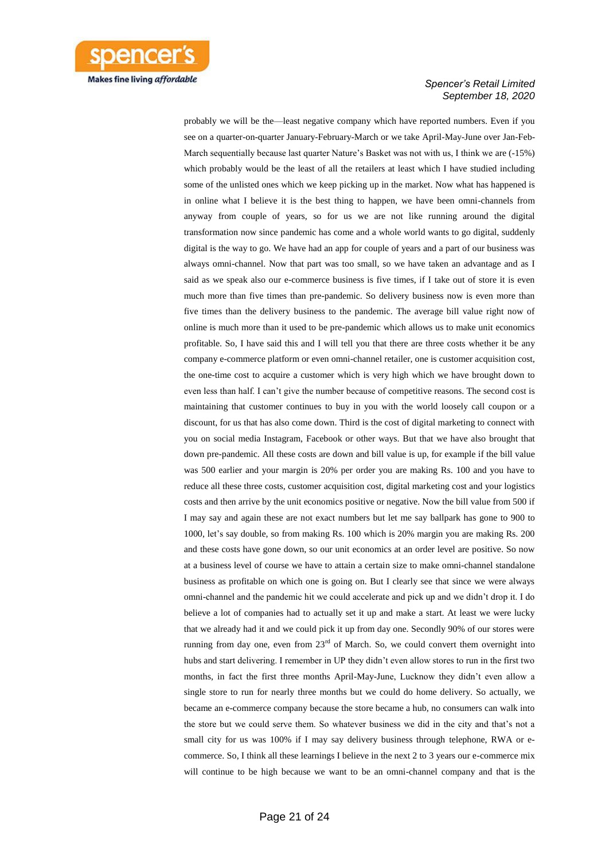

probably we will be the—least negative company which have reported numbers. Even if you see on a quarter-on-quarter January-February-March or we take April-May-June over Jan-Feb-March sequentially because last quarter Nature's Basket was not with us, I think we are (-15%) which probably would be the least of all the retailers at least which I have studied including some of the unlisted ones which we keep picking up in the market. Now what has happened is in online what I believe it is the best thing to happen, we have been omni-channels from anyway from couple of years, so for us we are not like running around the digital transformation now since pandemic has come and a whole world wants to go digital, suddenly digital is the way to go. We have had an app for couple of years and a part of our business was always omni-channel. Now that part was too small, so we have taken an advantage and as I said as we speak also our e-commerce business is five times, if I take out of store it is even much more than five times than pre-pandemic. So delivery business now is even more than five times than the delivery business to the pandemic. The average bill value right now of online is much more than it used to be pre-pandemic which allows us to make unit economics profitable. So, I have said this and I will tell you that there are three costs whether it be any company e-commerce platform or even omni-channel retailer, one is customer acquisition cost, the one-time cost to acquire a customer which is very high which we have brought down to even less than half. I can't give the number because of competitive reasons. The second cost is maintaining that customer continues to buy in you with the world loosely call coupon or a discount, for us that has also come down. Third is the cost of digital marketing to connect with you on social media Instagram, Facebook or other ways. But that we have also brought that down pre-pandemic. All these costs are down and bill value is up, for example if the bill value was 500 earlier and your margin is 20% per order you are making Rs. 100 and you have to reduce all these three costs, customer acquisition cost, digital marketing cost and your logistics costs and then arrive by the unit economics positive or negative. Now the bill value from 500 if I may say and again these are not exact numbers but let me say ballpark has gone to 900 to 1000, let's say double, so from making Rs. 100 which is 20% margin you are making Rs. 200 and these costs have gone down, so our unit economics at an order level are positive. So now at a business level of course we have to attain a certain size to make omni-channel standalone business as profitable on which one is going on. But I clearly see that since we were always omni-channel and the pandemic hit we could accelerate and pick up and we didn't drop it. I do believe a lot of companies had to actually set it up and make a start. At least we were lucky that we already had it and we could pick it up from day one. Secondly 90% of our stores were running from day one, even from  $23<sup>rd</sup>$  of March. So, we could convert them overnight into hubs and start delivering. I remember in UP they didn't even allow stores to run in the first two months, in fact the first three months April-May-June, Lucknow they didn't even allow a single store to run for nearly three months but we could do home delivery. So actually, we became an e-commerce company because the store became a hub, no consumers can walk into the store but we could serve them. So whatever business we did in the city and that's not a small city for us was 100% if I may say delivery business through telephone, RWA or ecommerce. So, I think all these learnings I believe in the next 2 to 3 years our e-commerce mix will continue to be high because we want to be an omni-channel company and that is the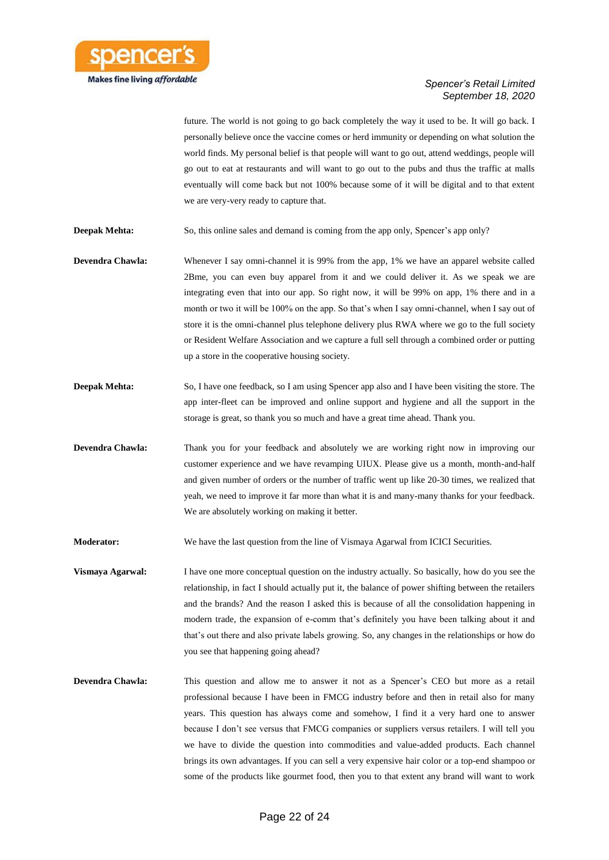

future. The world is not going to go back completely the way it used to be. It will go back. I personally believe once the vaccine comes or herd immunity or depending on what solution the world finds. My personal belief is that people will want to go out, attend weddings, people will go out to eat at restaurants and will want to go out to the pubs and thus the traffic at malls eventually will come back but not 100% because some of it will be digital and to that extent we are very-very ready to capture that.

**Deepak Mehta:** So, this online sales and demand is coming from the app only, Spencer's app only?

- **Devendra Chawla:** Whenever I say omni-channel it is 99% from the app, 1% we have an apparel website called 2Bme, you can even buy apparel from it and we could deliver it. As we speak we are integrating even that into our app. So right now, it will be 99% on app, 1% there and in a month or two it will be 100% on the app. So that's when I say omni-channel, when I say out of store it is the omni-channel plus telephone delivery plus RWA where we go to the full society or Resident Welfare Association and we capture a full sell through a combined order or putting up a store in the cooperative housing society.
- **Deepak Mehta:** So, I have one feedback, so I am using Spencer app also and I have been visiting the store. The app inter-fleet can be improved and online support and hygiene and all the support in the storage is great, so thank you so much and have a great time ahead. Thank you.
- **Devendra Chawla:** Thank you for your feedback and absolutely we are working right now in improving our customer experience and we have revamping UIUX. Please give us a month, month-and-half and given number of orders or the number of traffic went up like 20-30 times, we realized that yeah, we need to improve it far more than what it is and many-many thanks for your feedback. We are absolutely working on making it better.

**Moderator:** We have the last question from the line of Vismaya Agarwal from ICICI Securities.

**Vismaya Agarwal:** I have one more conceptual question on the industry actually. So basically, how do you see the relationship, in fact I should actually put it, the balance of power shifting between the retailers and the brands? And the reason I asked this is because of all the consolidation happening in modern trade, the expansion of e-comm that's definitely you have been talking about it and that's out there and also private labels growing. So, any changes in the relationships or how do you see that happening going ahead?

**Devendra Chawla:** This question and allow me to answer it not as a Spencer's CEO but more as a retail professional because I have been in FMCG industry before and then in retail also for many years. This question has always come and somehow, I find it a very hard one to answer because I don't see versus that FMCG companies or suppliers versus retailers. I will tell you we have to divide the question into commodities and value-added products. Each channel brings its own advantages. If you can sell a very expensive hair color or a top-end shampoo or some of the products like gourmet food, then you to that extent any brand will want to work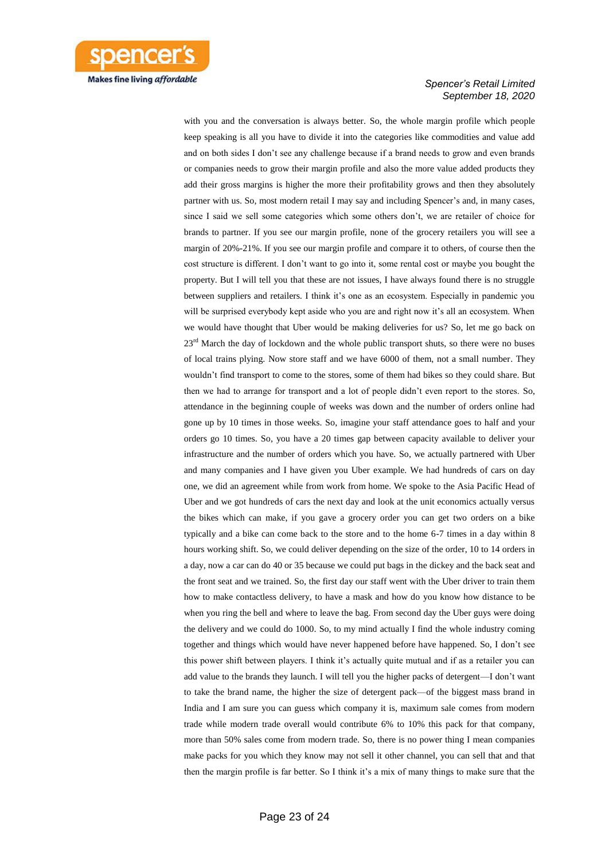

with you and the conversation is always better. So, the whole margin profile which people keep speaking is all you have to divide it into the categories like commodities and value add and on both sides I don't see any challenge because if a brand needs to grow and even brands or companies needs to grow their margin profile and also the more value added products they add their gross margins is higher the more their profitability grows and then they absolutely partner with us. So, most modern retail I may say and including Spencer's and, in many cases, since I said we sell some categories which some others don't, we are retailer of choice for brands to partner. If you see our margin profile, none of the grocery retailers you will see a margin of 20%-21%. If you see our margin profile and compare it to others, of course then the cost structure is different. I don't want to go into it, some rental cost or maybe you bought the property. But I will tell you that these are not issues, I have always found there is no struggle between suppliers and retailers. I think it's one as an ecosystem. Especially in pandemic you will be surprised everybody kept aside who you are and right now it's all an ecosystem. When we would have thought that Uber would be making deliveries for us? So, let me go back on  $23<sup>rd</sup>$  March the day of lockdown and the whole public transport shuts, so there were no buses of local trains plying. Now store staff and we have 6000 of them, not a small number. They wouldn't find transport to come to the stores, some of them had bikes so they could share. But then we had to arrange for transport and a lot of people didn't even report to the stores. So, attendance in the beginning couple of weeks was down and the number of orders online had gone up by 10 times in those weeks. So, imagine your staff attendance goes to half and your orders go 10 times. So, you have a 20 times gap between capacity available to deliver your infrastructure and the number of orders which you have. So, we actually partnered with Uber and many companies and I have given you Uber example. We had hundreds of cars on day one, we did an agreement while from work from home. We spoke to the Asia Pacific Head of Uber and we got hundreds of cars the next day and look at the unit economics actually versus the bikes which can make, if you gave a grocery order you can get two orders on a bike typically and a bike can come back to the store and to the home 6-7 times in a day within 8 hours working shift. So, we could deliver depending on the size of the order, 10 to 14 orders in a day, now a car can do 40 or 35 because we could put bags in the dickey and the back seat and the front seat and we trained. So, the first day our staff went with the Uber driver to train them how to make contactless delivery, to have a mask and how do you know how distance to be when you ring the bell and where to leave the bag. From second day the Uber guys were doing the delivery and we could do 1000. So, to my mind actually I find the whole industry coming together and things which would have never happened before have happened. So, I don't see this power shift between players. I think it's actually quite mutual and if as a retailer you can add value to the brands they launch. I will tell you the higher packs of detergent—I don't want to take the brand name, the higher the size of detergent pack—of the biggest mass brand in India and I am sure you can guess which company it is, maximum sale comes from modern trade while modern trade overall would contribute 6% to 10% this pack for that company, more than 50% sales come from modern trade. So, there is no power thing I mean companies make packs for you which they know may not sell it other channel, you can sell that and that then the margin profile is far better. So I think it's a mix of many things to make sure that the